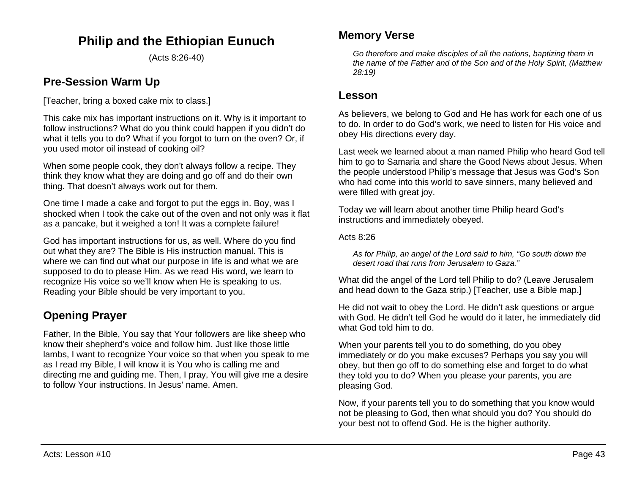# **Philip and the Ethiopian Eunuch**

(Acts 8:26-40)

## **Pre-Session Warm Up**

[Teacher, bring a boxed cake mix to class.]

This cake mix has important instructions on it. Why is it important to follow instructions? What do you think could happen if you didn't do what it tells you to do? What if you forgot to turn on the oven? Or, if you used motor oil instead of cooking oil?

When some people cook, they don't always follow a recipe. They think they know what they are doing and go off and do their own thing. That doesn't always work out for them.

One time I made a cake and forgot to put the eggs in. Boy, was I shocked when I took the cake out of the oven and not only was it flat as a pancake, but it weighed a ton! It was a complete failure!

God has important instructions for us, as well. Where do you find out what they are? The Bible is His instruction manual. This is where we can find out what our purpose in life is and what we are supposed to do to please Him. As we read His word, we learn to recognize His voice so we'll know when He is speaking to us. Reading your Bible should be very important to you.

# **Opening Prayer**

Father, In the Bible, You say that Your followers are like sheep who know their shepherd's voice and follow him. Just like those little lambs, I want to recognize Your voice so that when you speak to me as I read my Bible, I will know it is You who is calling me and directing me and guiding me. Then, I pray, You will give me a desire to follow Your instructions. In Jesus' name. Amen.

## **Memory Verse**

*Go therefore and make disciples of all the nations, baptizing them in the name of the Father and of the Son and of the Holy Spirit, (Matthew 28:19)*

## **Lesson**

As believers, we belong to God and He has work for each one of us to do. In order to do God's work, we need to listen for His voice and obey His directions every day.

Last week we learned about a man named Philip who heard God tell him to go to Samaria and share the Good News about Jesus. When the people understood Philip's message that Jesus was God's Son who had come into this world to save sinners, many believed and were filled with great joy.

Today we will learn about another time Philip heard God's instructions and immediately obeyed.

Acts  $8:26$ 

*As for Philip, an angel of the Lord said to him, "Go south down the desert road that runs from Jerusalem to Gaza."*

What did the angel of the Lord tell Philip to do? (Leave Jerusalem and head down to the Gaza strip.) [Teacher, use a Bible map.]

He did not wait to obey the Lord. He didn't ask questions or argue with God. He didn't tell God he would do it later, he immediately did what God told him to do.

When your parents tell you to do something, do you obey immediately or do you make excuses? Perhaps you say you will obey, but then go off to do something else and forget to do what they told you to do? When you please your parents, you are pleasing God.

Now, if your parents tell you to do something that you know would not be pleasing to God, then what should you do? You should do your best not to offend God. He is the higher authority.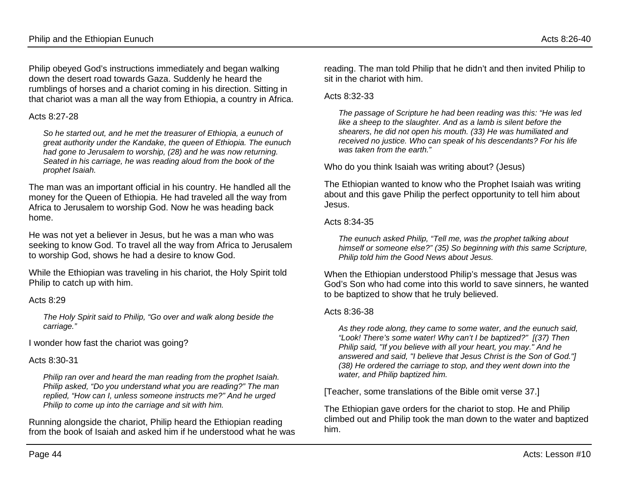Philip obeyed God's instructions immediately and began walking down the desert road towards Gaza. Suddenly he heard the rumblings of horses and a chariot coming in his direction. Sitting in that chariot was a man all the way from Ethiopia, a country in Africa.

### Acts 8:27-28

*So he started out, and he met the treasurer of Ethiopia, a eunuch of great authority under the Kandake, the queen of Ethiopia. The eunuch had gone to Jerusalem to worship, (28) and he was now returning. Seated in his carriage, he was reading aloud from the book of the prophet Isaiah.*

The man was an important official in his country. He handled all the money for the Queen of Ethiopia. He had traveled all the way from Africa to Jerusalem to worship God. Now he was heading back home.

He was not yet a believer in Jesus, but he was a man who was seeking to know God. To travel all the way from Africa to Jerusalem to worship God, shows he had a desire to know God.

While the Ethiopian was traveling in his chariot, the Holy Spirit told Philip to catch up with him.

### Acts  $8:29$

*The Holy Spirit said to Philip, "Go over and walk along beside the carriage."*

I wonder how fast the chariot was going?

### Acts 8:30-31

*Philip ran over and heard the man reading from the prophet Isaiah. Philip asked, "Do you understand what you are reading?" The man replied, "How can I, unless someone instructs me?" And he urged Philip to come up into the carriage and sit with him.*

Running alongside the chariot, Philip heard the Ethiopian reading from the book of Isaiah and asked him if he understood what he was reading. The man told Philip that he didn't and then invited Philip to sit in the chariot with him.

#### Acts 8:32-33

*The passage of Scripture he had been reading was this: "He was led*  like a sheep to the slaughter. And as a lamb is silent before the *shearers, he did not open his mouth. (33) He was humiliated and received no justice. Who can speak of his descendants? For his life was taken from the earth."*

Who do you think Isaiah was writing about? (Jesus)

The Ethiopian wanted to know who the Prophet Isaiah was writing about and this gave Philip the perfect opportunity to tell him about Jesus.

#### Acts 8:34-35

*The eunuch asked Philip, "Tell me, was the prophet talking about himself or someone else?" (35) So beginning with this same Scripture, Philip told him the Good News about Jesus.*

When the Ethiopian understood Philip's message that Jesus was God's Son who had come into this world to save sinners, he wanted to be baptized to show that he truly believed.

### Acts 8:36-38

*As they rode along, they came to some water, and the eunuch said, "Look! There's some water! Why can't I be baptized?" [(37) Then Philip said, "If you believe with all your heart, you may." And he answered and said, "I believe that Jesus Christ is the Son of God."] (38) He ordered the carriage to stop, and they went down into the water, and Philip baptized him.*

[Teacher, some translations of the Bible omit verse 37.]

The Ethiopian gave orders for the chariot to stop. He and Philip climbed out and Philip took the man down to the water and baptized him.